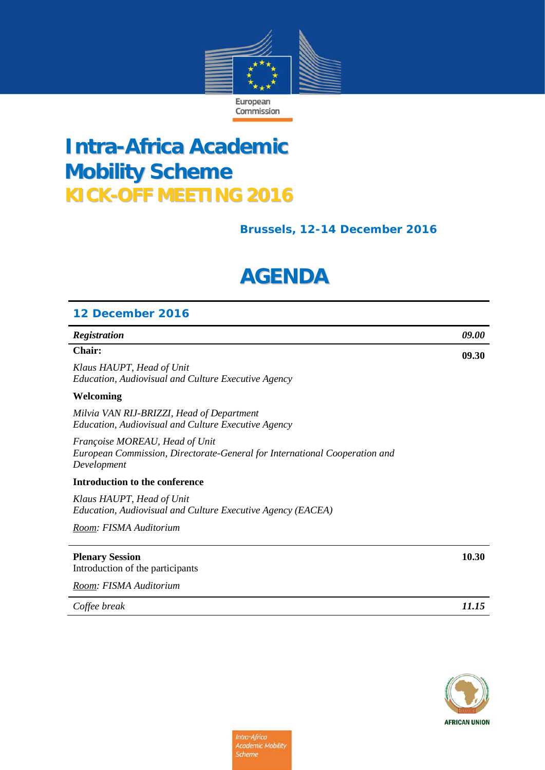

## **Intra-Africa Academic Mobility Scheme KICK-OFF MEETING 2016**

### **Brussels, 12-14 December 2016**

# **AGENDA**

| 12 December 2016                                                                                                            |                     |
|-----------------------------------------------------------------------------------------------------------------------------|---------------------|
| Registration                                                                                                                | <i><b>09.00</b></i> |
| <b>Chair:</b>                                                                                                               | 09.30               |
| Klaus HAUPT, Head of Unit<br>Education, Audiovisual and Culture Executive Agency                                            |                     |
| Welcoming                                                                                                                   |                     |
| Milvia VAN RIJ-BRIZZI, Head of Department<br>Education, Audiovisual and Culture Executive Agency                            |                     |
| Françoise MOREAU, Head of Unit<br>European Commission, Directorate-General for International Cooperation and<br>Development |                     |
| Introduction to the conference                                                                                              |                     |
| Klaus HAUPT, Head of Unit<br>Education, Audiovisual and Culture Executive Agency (EACEA)                                    |                     |
| Room: FISMA Auditorium                                                                                                      |                     |
| <b>Plenary Session</b><br>Introduction of the participants                                                                  | 10.30               |
| Room: FISMA Auditorium                                                                                                      |                     |
| Coffee break                                                                                                                | 11.15               |

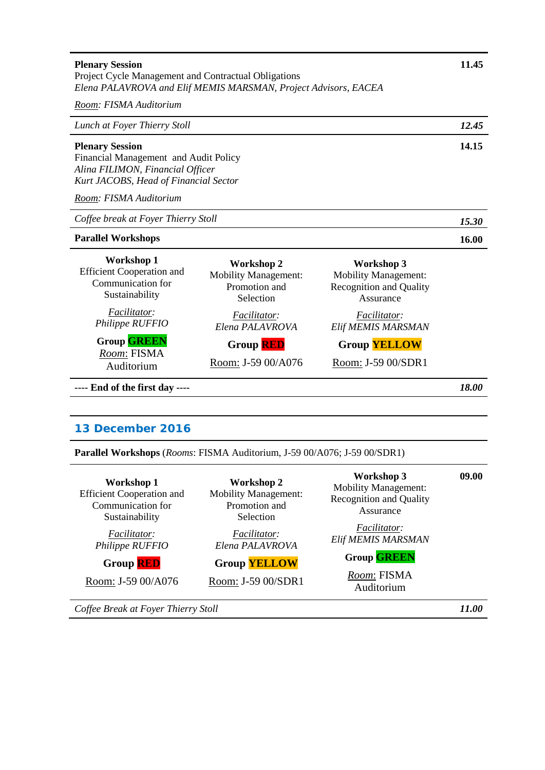| <b>Plenary Session</b><br>Project Cycle Management and Contractual Obligations<br>Elena PALAVROVA and Elif MEMIS MARSMAN, Project Advisors, EACEA                      |                                                                                |                                                                                                 | 11.45 |
|------------------------------------------------------------------------------------------------------------------------------------------------------------------------|--------------------------------------------------------------------------------|-------------------------------------------------------------------------------------------------|-------|
| Room: FISMA Auditorium                                                                                                                                                 |                                                                                |                                                                                                 |       |
| Lunch at Foyer Thierry Stoll                                                                                                                                           |                                                                                |                                                                                                 | 12.45 |
| <b>Plenary Session</b><br>Financial Management and Audit Policy<br>Alina FILIMON, Financial Officer<br>Kurt JACOBS, Head of Financial Sector<br>Room: FISMA Auditorium |                                                                                |                                                                                                 | 14.15 |
| Coffee break at Foyer Thierry Stoll                                                                                                                                    |                                                                                |                                                                                                 | 15.30 |
| <b>Parallel Workshops</b>                                                                                                                                              |                                                                                |                                                                                                 | 16.00 |
| <b>Workshop 1</b><br><b>Efficient Cooperation and</b><br>Communication for<br>Sustainability                                                                           | <b>Workshop 2</b><br><b>Mobility Management:</b><br>Promotion and<br>Selection | <b>Workshop 3</b><br><b>Mobility Management:</b><br><b>Recognition and Quality</b><br>Assurance |       |
| Facilitator:<br>Philippe RUFFIO                                                                                                                                        | Facilitator:<br>Elena PALAVROVA                                                | Facilitator:<br>Elif MEMIS MARSMAN                                                              |       |
| <b>Group GREEN</b>                                                                                                                                                     | <b>Group RED</b>                                                               | <b>Group YELLOW</b>                                                                             |       |
| Room: FISMA<br>Auditorium                                                                                                                                              | Room: J-59 00/A076                                                             | Room: J-59 00/SDR1                                                                              |       |
| ---- End of the first day ----                                                                                                                                         |                                                                                |                                                                                                 | 18.00 |

#### **13 December 2016**

**Parallel Workshops** (*Rooms*: FISMA Auditorium, J-59 00/A076; J-59 00/SDR1)

| <b>Workshop 1</b><br><b>Efficient Cooperation and</b><br>Communication for<br>Sustainability<br><i>Facilitator:</i> | Workshop 2<br><b>Mobility Management:</b><br>Promotion and<br>Selection<br><i>Facilitator:</i> | <b>Workshop 3</b><br><b>Mobility Management:</b><br><b>Recognition and Quality</b><br>Assurance<br><i>Facilitator:</i> | 09.00        |
|---------------------------------------------------------------------------------------------------------------------|------------------------------------------------------------------------------------------------|------------------------------------------------------------------------------------------------------------------------|--------------|
| Philippe RUFFIO                                                                                                     | Elena PALAVROVA                                                                                | Elif MEMIS MARSMAN                                                                                                     |              |
| <b>Group RED</b>                                                                                                    | <b>Group YELLOW</b>                                                                            | <b>Group GREEN</b>                                                                                                     |              |
| Room: J-59 00/A076                                                                                                  | Room: J-59 00/SDR1                                                                             | Room: FISMA<br>Auditorium                                                                                              |              |
| Coffee Break at Foyer Thierry Stoll                                                                                 |                                                                                                |                                                                                                                        | <i>11.00</i> |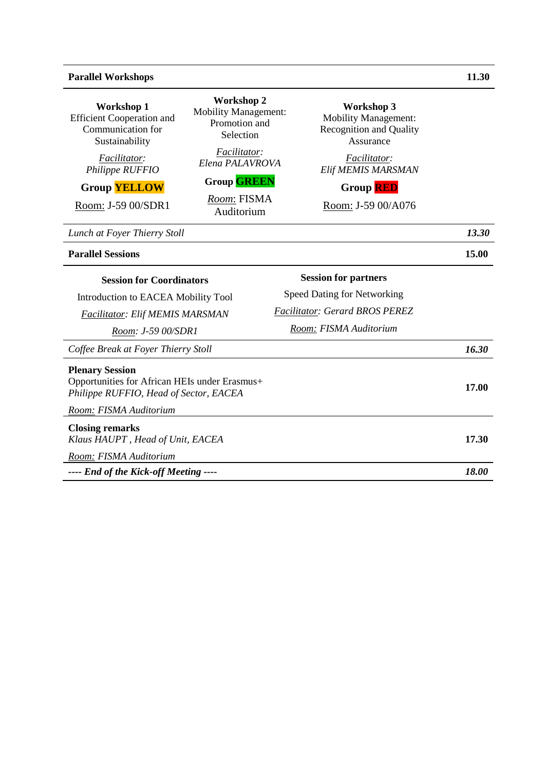#### **Parallel Workshops 11.30**

| <b>Workshop 1</b><br><b>Efficient Cooperation and</b><br>Communication for<br>Sustainability<br>Facilitator:<br>Philippe RUFFIO<br><b>Group YELLOW</b><br>Room: J-59 00/SDR1 | <b>Workshop 2</b><br><b>Mobility Management:</b><br>Promotion and<br>Selection<br>Facilitator:<br>Elena PALAVROVA<br><b>Group GREEN</b><br>Room: FISMA<br>Auditorium | <b>Workshop 3</b><br><b>Mobility Management:</b><br><b>Recognition and Quality</b><br>Assurance<br>Facilitator:<br>Elif MEMIS MARSMAN<br><b>Group RED</b><br>Room: J-59 00/A076 |       |
|------------------------------------------------------------------------------------------------------------------------------------------------------------------------------|----------------------------------------------------------------------------------------------------------------------------------------------------------------------|---------------------------------------------------------------------------------------------------------------------------------------------------------------------------------|-------|
| Lunch at Foyer Thierry Stoll                                                                                                                                                 |                                                                                                                                                                      |                                                                                                                                                                                 | 13.30 |
| <b>Parallel Sessions</b>                                                                                                                                                     |                                                                                                                                                                      |                                                                                                                                                                                 | 15.00 |
| <b>Session for Coordinators</b><br>Introduction to EACEA Mobility Tool<br><b>Facilitator: Elif MEMIS MARSMAN</b><br>Room: J-59 00/SDR1                                       |                                                                                                                                                                      | <b>Session for partners</b><br><b>Speed Dating for Networking</b><br>Facilitator: Gerard BROS PEREZ<br>Room: FISMA Auditorium                                                   |       |
| Coffee Break at Foyer Thierry Stoll                                                                                                                                          |                                                                                                                                                                      |                                                                                                                                                                                 | 16.30 |
| <b>Plenary Session</b><br>Opportunities for African HEIs under Erasmus+<br>Philippe RUFFIO, Head of Sector, EACEA                                                            |                                                                                                                                                                      |                                                                                                                                                                                 | 17.00 |
| Room: FISMA Auditorium                                                                                                                                                       |                                                                                                                                                                      |                                                                                                                                                                                 |       |
| <b>Closing remarks</b><br>Klaus HAUPT, Head of Unit, EACEA                                                                                                                   |                                                                                                                                                                      |                                                                                                                                                                                 | 17.30 |
| Room: FISMA Auditorium                                                                                                                                                       |                                                                                                                                                                      |                                                                                                                                                                                 |       |
| ---- End of the Kick-off Meeting ----                                                                                                                                        |                                                                                                                                                                      |                                                                                                                                                                                 | 18.00 |